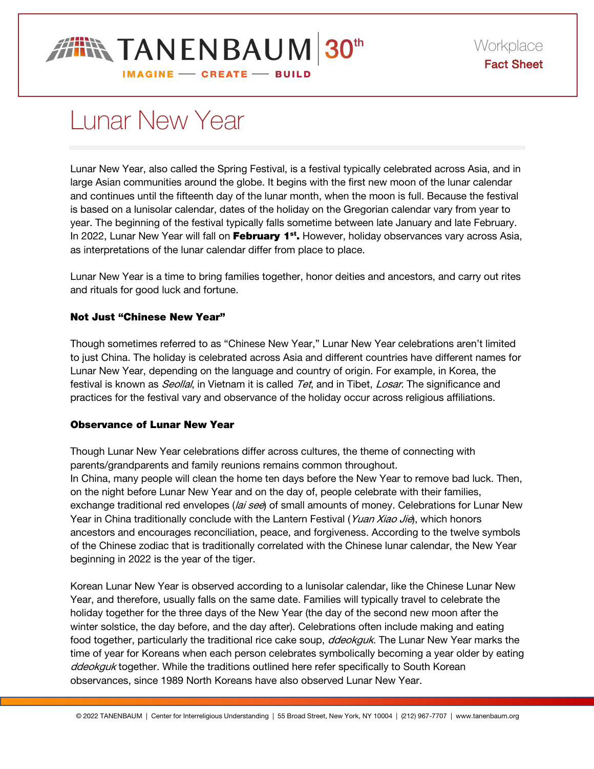

# Lunar New Year

Lunar New Year, also called the Spring Festival, is a festival typically celebrated across Asia, and in large Asian communities around the globe. It begins with the first new moon of the lunar calendar and continues until the fifteenth day of the lunar month, when the moon is full. Because the festival is based on a lunisolar calendar, dates of the holiday on the Gregorian calendar vary from year to year. The beginning of the festival typically falls sometime between late January and late February. In 2022, Lunar New Year will fall on February 1<sup>st</sup>. However, holiday observances vary across Asia, as interpretations of the lunar calendar differ from place to place.

Lunar New Year is a time to bring families together, honor deities and ancestors, and carry out rites and rituals for good luck and fortune.

## Not Just "Chinese New Year"

Though sometimes referred to as "Chinese New Year," Lunar New Year celebrations aren't limited to just China. The holiday is celebrated across Asia and different countries have different names for Lunar New Year, depending on the language and country of origin. For example, in Korea, the festival is known as *Seollal*, in Vietnam it is called Tet, and in Tibet, Losar. The significance and practices for the festival vary and observance of the holiday occur across religious affiliations.

### Observance of Lunar New Year

Though Lunar New Year celebrations differ across cultures, the theme of connecting with parents/grandparents and family reunions remains common throughout. In China, many people will clean the home ten days before the New Year to remove bad luck. Then, on the night before Lunar New Year and on the day of, people celebrate with their families, exchange traditional red envelopes (lai see) of small amounts of money. Celebrations for Lunar New Year in China traditionally conclude with the Lantern Festival (Yuan Xiao Jie), which honors ancestors and encourages reconciliation, peace, and forgiveness. According to the twelve symbols of the Chinese zodiac that is traditionally correlated with the Chinese lunar calendar, the New Year beginning in 2022 is the year of the tiger.

Korean Lunar New Year is observed according to a lunisolar calendar, like the Chinese Lunar New Year, and therefore, usually falls on the same date. Families will typically travel to celebrate the holiday together for the three days of the New Year (the day of the second new moon after the winter solstice, the day before, and the day after). Celebrations often include making and eating food together, particularly the traditional rice cake soup, *ddeokguk*. The Lunar New Year marks the time of year for Koreans when each person celebrates symbolically becoming a year older by eating ddeokguk together. While the traditions outlined here refer specifically to South Korean observances, since 1989 North Koreans have also observed Lunar New Year.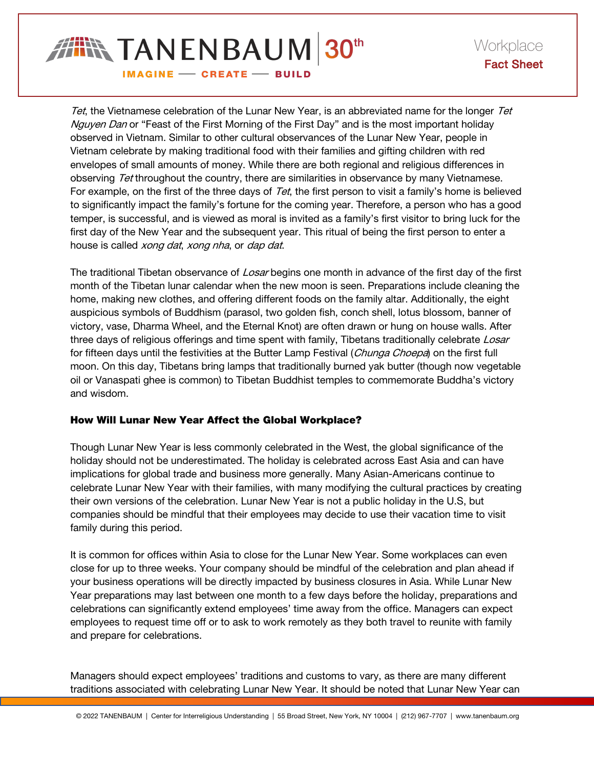

Tet, the Vietnamese celebration of the Lunar New Year, is an abbreviated name for the longer Tet Nguyen Dan or "Feast of the First Morning of the First Day" and is the most important holiday observed in Vietnam. Similar to other cultural observances of the Lunar New Year, people in Vietnam celebrate by making traditional food with their families and gifting children with red envelopes of small amounts of money. While there are both regional and religious differences in observing Tet throughout the country, there are similarities in observance by many Vietnamese. For example, on the first of the three days of Tet, the first person to visit a family's home is believed to significantly impact the family's fortune for the coming year. Therefore, a person who has a good temper, is successful, and is viewed as moral is invited as a family's first visitor to bring luck for the first day of the New Year and the subsequent year. This ritual of being the first person to enter a house is called xong dat, xong nha, or dap dat.

The traditional Tibetan observance of Losar begins one month in advance of the first day of the first month of the Tibetan lunar calendar when the new moon is seen. Preparations include cleaning the home, making new clothes, and offering different foods on the family altar. Additionally, the eight auspicious symbols of Buddhism (parasol, two golden fish, conch shell, lotus blossom, banner of victory, vase, Dharma Wheel, and the Eternal Knot) are often drawn or hung on house walls. After three days of religious offerings and time spent with family, Tibetans traditionally celebrate Losar for fifteen days until the festivities at the Butter Lamp Festival (Chunga Choepa) on the first full moon. On this day, Tibetans bring lamps that traditionally burned yak butter (though now vegetable oil or Vanaspati ghee is common) to Tibetan Buddhist temples to commemorate Buddha's victory and wisdom.

### How Will Lunar New Year Affect the Global Workplace?

Though Lunar New Year is less commonly celebrated in the West, the global significance of the holiday should not be underestimated. The holiday is celebrated across East Asia and can have implications for global trade and business more generally. Many Asian-Americans continue to celebrate Lunar New Year with their families, with many modifying the cultural practices by creating their own versions of the celebration. Lunar New Year is not a public holiday in the U.S, but companies should be mindful that their employees may decide to use their vacation time to visit family during this period.

It is common for offices within Asia to close for the Lunar New Year. Some workplaces can even close for up to three weeks. Your company should be mindful of the celebration and plan ahead if your business operations will be directly impacted by business closures in Asia. While Lunar New Year preparations may last between one month to a few days before the holiday, preparations and celebrations can significantly extend employees' time away from the office. Managers can expect employees to request time off or to ask to work remotely as they both travel to reunite with family and prepare for celebrations.

Managers should expect employees' traditions and customs to vary, as there are many different traditions associated with celebrating Lunar New Year. It should be noted that Lunar New Year can